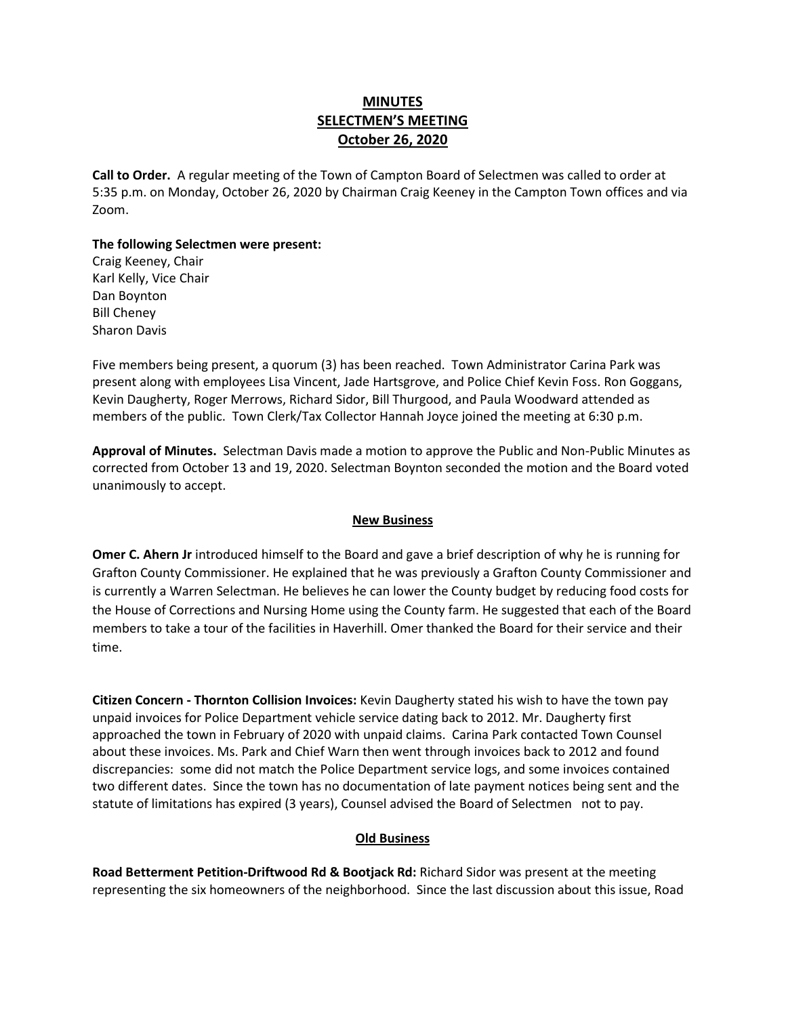# **MINUTES SELECTMEN'S MEETING October 26, 2020**

**Call to Order.** A regular meeting of the Town of Campton Board of Selectmen was called to order at 5:35 p.m. on Monday, October 26, 2020 by Chairman Craig Keeney in the Campton Town offices and via Zoom.

### **The following Selectmen were present:**

Craig Keeney, Chair Karl Kelly, Vice Chair Dan Boynton Bill Cheney Sharon Davis

Five members being present, a quorum (3) has been reached.Town Administrator Carina Park was present along with employees Lisa Vincent, Jade Hartsgrove, and Police Chief Kevin Foss. Ron Goggans, Kevin Daugherty, Roger Merrows, Richard Sidor, Bill Thurgood, and Paula Woodward attended as members of the public. Town Clerk/Tax Collector Hannah Joyce joined the meeting at 6:30 p.m.

**Approval of Minutes.** Selectman Davis made a motion to approve the Public and Non-Public Minutes as corrected from October 13 and 19, 2020. Selectman Boynton seconded the motion and the Board voted unanimously to accept.

#### **New Business**

**Omer C. Ahern Jr** introduced himself to the Board and gave a brief description of why he is running for Grafton County Commissioner. He explained that he was previously a Grafton County Commissioner and is currently a Warren Selectman. He believes he can lower the County budget by reducing food costs for the House of Corrections and Nursing Home using the County farm. He suggested that each of the Board members to take a tour of the facilities in Haverhill. Omer thanked the Board for their service and their time.

**Citizen Concern - Thornton Collision Invoices:** Kevin Daugherty stated his wish to have the town pay unpaid invoices for Police Department vehicle service dating back to 2012. Mr. Daugherty first approached the town in February of 2020 with unpaid claims. Carina Park contacted Town Counsel about these invoices. Ms. Park and Chief Warn then went through invoices back to 2012 and found discrepancies: some did not match the Police Department service logs, and some invoices contained two different dates. Since the town has no documentation of late payment notices being sent and the statute of limitations has expired (3 years), Counsel advised the Board of Selectmen not to pay.

#### **Old Business**

**Road Betterment Petition-Driftwood Rd & Bootjack Rd:** Richard Sidor was present at the meeting representing the six homeowners of the neighborhood. Since the last discussion about this issue, Road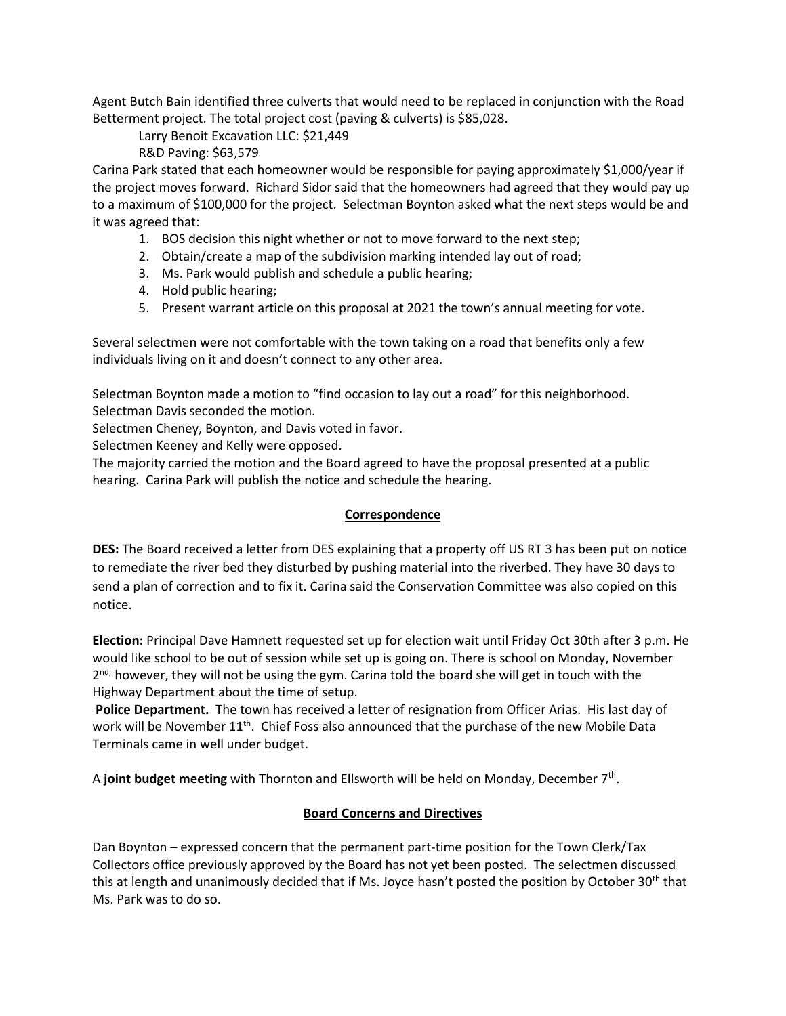Agent Butch Bain identified three culverts that would need to be replaced in conjunction with the Road Betterment project. The total project cost (paving & culverts) is \$85,028.

Larry Benoit Excavation LLC: \$21,449

R&D Paving: \$63,579

Carina Park stated that each homeowner would be responsible for paying approximately \$1,000/year if the project moves forward. Richard Sidor said that the homeowners had agreed that they would pay up to a maximum of \$100,000 for the project. Selectman Boynton asked what the next steps would be and it was agreed that:

- 1. BOS decision this night whether or not to move forward to the next step;
- 2. Obtain/create a map of the subdivision marking intended lay out of road;
- 3. Ms. Park would publish and schedule a public hearing;
- 4. Hold public hearing;
- 5. Present warrant article on this proposal at 2021 the town's annual meeting for vote.

Several selectmen were not comfortable with the town taking on a road that benefits only a few individuals living on it and doesn't connect to any other area.

Selectman Boynton made a motion to "find occasion to lay out a road" for this neighborhood. Selectman Davis seconded the motion.

Selectmen Cheney, Boynton, and Davis voted in favor.

Selectmen Keeney and Kelly were opposed.

The majority carried the motion and the Board agreed to have the proposal presented at a public hearing. Carina Park will publish the notice and schedule the hearing.

## **Correspondence**

**DES:** The Board received a letter from DES explaining that a property off US RT 3 has been put on notice to remediate the river bed they disturbed by pushing material into the riverbed. They have 30 days to send a plan of correction and to fix it. Carina said the Conservation Committee was also copied on this notice.

**Election:** Principal Dave Hamnett requested set up for election wait until Friday Oct 30th after 3 p.m. He would like school to be out of session while set up is going on. There is school on Monday, November 2<sup>nd;</sup> however, they will not be using the gym. Carina told the board she will get in touch with the Highway Department about the time of setup.

**Police Department.** The town has received a letter of resignation from Officer Arias. His last day of work will be November 11<sup>th</sup>. Chief Foss also announced that the purchase of the new Mobile Data Terminals came in well under budget.

A joint budget meeting with Thornton and Ellsworth will be held on Monday, December 7<sup>th</sup>.

# **Board Concerns and Directives**

Dan Boynton – expressed concern that the permanent part-time position for the Town Clerk/Tax Collectors office previously approved by the Board has not yet been posted. The selectmen discussed this at length and unanimously decided that if Ms. Joyce hasn't posted the position by October 30<sup>th</sup> that Ms. Park was to do so.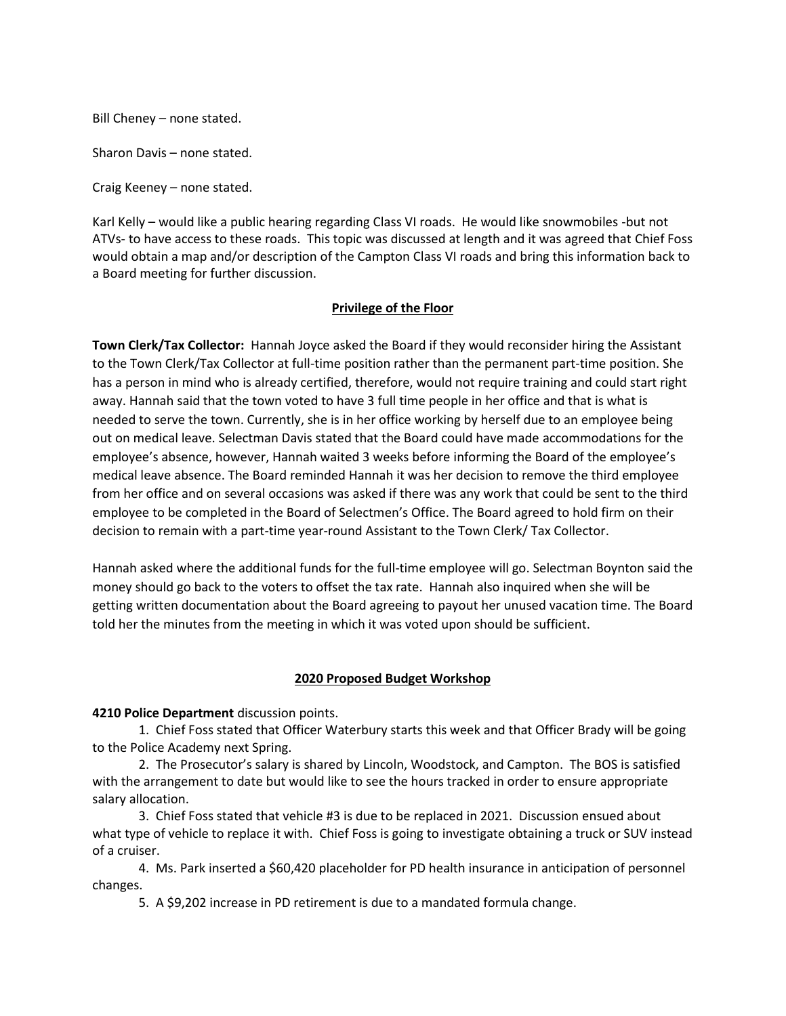Bill Cheney – none stated.

Sharon Davis – none stated.

Craig Keeney – none stated.

Karl Kelly – would like a public hearing regarding Class VI roads. He would like snowmobiles -but not ATVs- to have access to these roads. This topic was discussed at length and it was agreed that Chief Foss would obtain a map and/or description of the Campton Class VI roads and bring this information back to a Board meeting for further discussion.

## **Privilege of the Floor**

**Town Clerk/Tax Collector:** Hannah Joyce asked the Board if they would reconsider hiring the Assistant to the Town Clerk/Tax Collector at full-time position rather than the permanent part-time position. She has a person in mind who is already certified, therefore, would not require training and could start right away. Hannah said that the town voted to have 3 full time people in her office and that is what is needed to serve the town. Currently, she is in her office working by herself due to an employee being out on medical leave. Selectman Davis stated that the Board could have made accommodations for the employee's absence, however, Hannah waited 3 weeks before informing the Board of the employee's medical leave absence. The Board reminded Hannah it was her decision to remove the third employee from her office and on several occasions was asked if there was any work that could be sent to the third employee to be completed in the Board of Selectmen's Office. The Board agreed to hold firm on their decision to remain with a part-time year-round Assistant to the Town Clerk/ Tax Collector.

Hannah asked where the additional funds for the full-time employee will go. Selectman Boynton said the money should go back to the voters to offset the tax rate. Hannah also inquired when she will be getting written documentation about the Board agreeing to payout her unused vacation time. The Board told her the minutes from the meeting in which it was voted upon should be sufficient.

#### **2020 Proposed Budget Workshop**

**4210 Police Department** discussion points.

1. Chief Foss stated that Officer Waterbury starts this week and that Officer Brady will be going to the Police Academy next Spring.

2. The Prosecutor's salary is shared by Lincoln, Woodstock, and Campton. The BOS is satisfied with the arrangement to date but would like to see the hours tracked in order to ensure appropriate salary allocation.

3. Chief Foss stated that vehicle #3 is due to be replaced in 2021. Discussion ensued about what type of vehicle to replace it with. Chief Foss is going to investigate obtaining a truck or SUV instead of a cruiser.

4. Ms. Park inserted a \$60,420 placeholder for PD health insurance in anticipation of personnel changes.

5. A \$9,202 increase in PD retirement is due to a mandated formula change.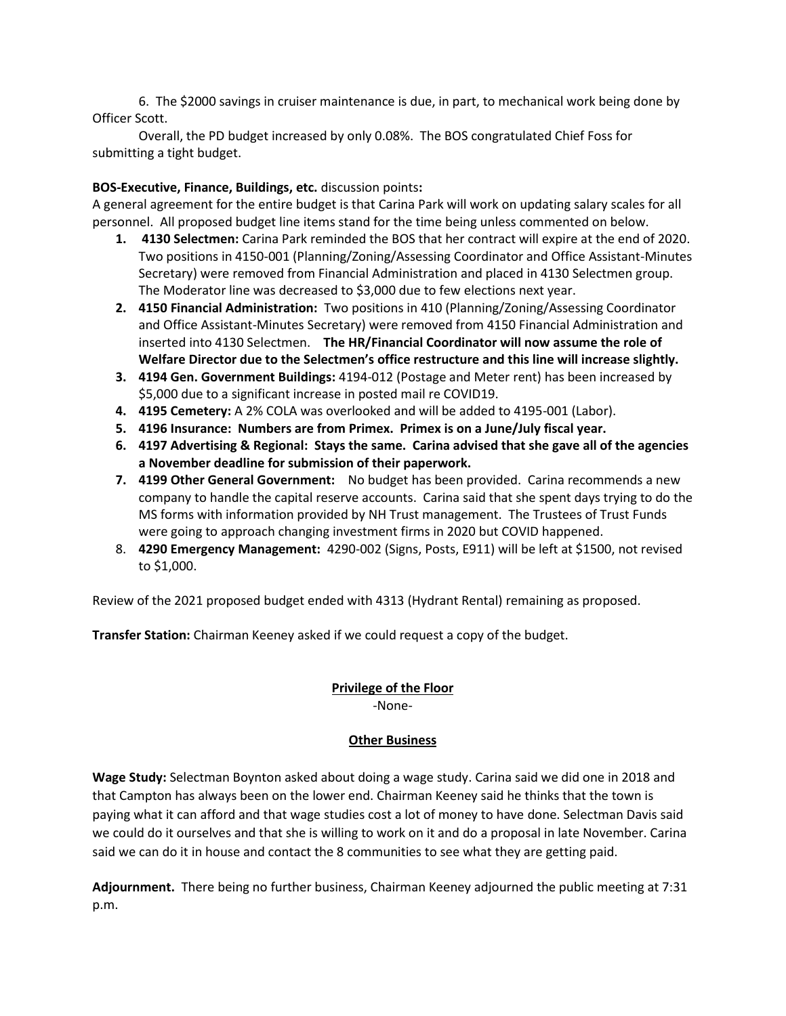6. The \$2000 savings in cruiser maintenance is due, in part, to mechanical work being done by Officer Scott.

Overall, the PD budget increased by only 0.08%. The BOS congratulated Chief Foss for submitting a tight budget.

## **BOS-Executive, Finance, Buildings, etc.** discussion points**:**

A general agreement for the entire budget is that Carina Park will work on updating salary scales for all personnel. All proposed budget line items stand for the time being unless commented on below.

- **1. 4130 Selectmen:** Carina Park reminded the BOS that her contract will expire at the end of 2020. Two positions in 4150-001 (Planning/Zoning/Assessing Coordinator and Office Assistant-Minutes Secretary) were removed from Financial Administration and placed in 4130 Selectmen group. The Moderator line was decreased to \$3,000 due to few elections next year.
- **2. 4150 Financial Administration:** Two positions in 410 (Planning/Zoning/Assessing Coordinator and Office Assistant-Minutes Secretary) were removed from 4150 Financial Administration and inserted into 4130 Selectmen. **The HR/Financial Coordinator will now assume the role of Welfare Director due to the Selectmen's office restructure and this line will increase slightly.**
- **3. 4194 Gen. Government Buildings:** 4194-012 (Postage and Meter rent) has been increased by \$5,000 due to a significant increase in posted mail re COVID19.
- **4. 4195 Cemetery:** A 2% COLA was overlooked and will be added to 4195-001 (Labor).
- **5. 4196 Insurance: Numbers are from Primex. Primex is on a June/July fiscal year.**
- **6. 4197 Advertising & Regional: Stays the same. Carina advised that she gave all of the agencies a November deadline for submission of their paperwork.**
- **7. 4199 Other General Government:** No budget has been provided. Carina recommends a new company to handle the capital reserve accounts. Carina said that she spent days trying to do the MS forms with information provided by NH Trust management. The Trustees of Trust Funds were going to approach changing investment firms in 2020 but COVID happened.
- 8. **4290 Emergency Management:** 4290-002 (Signs, Posts, E911) will be left at \$1500, not revised to \$1,000.

Review of the 2021 proposed budget ended with 4313 (Hydrant Rental) remaining as proposed.

**Transfer Station:** Chairman Keeney asked if we could request a copy of the budget.

# **Privilege of the Floor**

-None-

# **Other Business**

**Wage Study:** Selectman Boynton asked about doing a wage study. Carina said we did one in 2018 and that Campton has always been on the lower end. Chairman Keeney said he thinks that the town is paying what it can afford and that wage studies cost a lot of money to have done. Selectman Davis said we could do it ourselves and that she is willing to work on it and do a proposal in late November. Carina said we can do it in house and contact the 8 communities to see what they are getting paid.

**Adjournment.** There being no further business, Chairman Keeney adjourned the public meeting at 7:31 p.m.